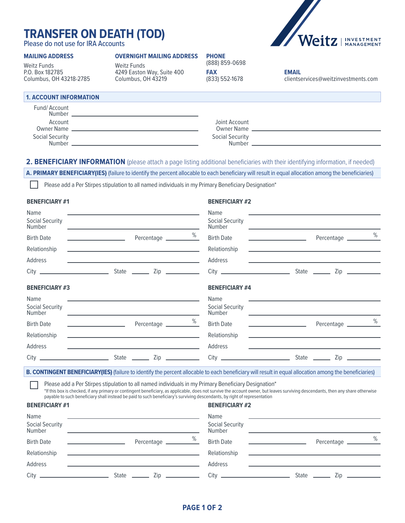# **TRANSFER ON DEATH (TOD)**

Please do not use for IRA Accounts

### **MAILING ADDRESS**

Weitz Funds P.O. Box 182785 Columbus, OH 43218-2785

# **OVERNIGHT MAILING ADDRESS**

Weitz Funds 4249 Easton Way, Suite 400 Columbus, OH 43219

| <b>PHONE</b>                 |
|------------------------------|
| (888) 859-0698<br><b>FAX</b> |
| (833) 552-1678               |



**EMAIL** clientservices@weitzinvestments.com

# **1. ACCOUNT INFORMATION**

| Fund/Account<br>Number       |                                  |  |
|------------------------------|----------------------------------|--|
| Account<br><b>Owner Name</b> | Joint Account<br>Owner Name      |  |
| Social Security<br>Number    | <b>Social Security</b><br>Number |  |

# 2. BENEFICIARY INFORMATION (please attach a page listing additional beneficiaries with their identifying information, if needed)

**A. PRIMARY BENEFICIARY(IES)** (failure to identify the percent allocable to each beneficiary will result in equal allocation among the beneficiaries)

Please add a Per Stirpes stipulation to all named individuals in my Primary Beneficiary Designation\*

### **BENEFICIARY #1 BENEFICIARY #2**

| Name                                                                                                                                                          |                                          |                                                                                                                       | Name                             |                                                                                                                                                                                                                                      |               |                 |
|---------------------------------------------------------------------------------------------------------------------------------------------------------------|------------------------------------------|-----------------------------------------------------------------------------------------------------------------------|----------------------------------|--------------------------------------------------------------------------------------------------------------------------------------------------------------------------------------------------------------------------------------|---------------|-----------------|
| Social Security<br>Number                                                                                                                                     |                                          | <u> 1989 - Andrea Stadt, fransk politik (d. 1989)</u>                                                                 | Social Security<br>Number        |                                                                                                                                                                                                                                      |               |                 |
| <b>Birth Date</b>                                                                                                                                             | <u> 1989 - Johann Stone, mars et al.</u> |                                                                                                                       | <b>Birth Date</b>                | <u> 1989 - John Harry Harry Harry Harry Harry Harry Harry Harry Harry Harry Harry Harry Harry Harry Harry Harry Harry Harry Harry Harry Harry Harry Harry Harry Harry Harry Harry Harry Harry Harry Harry Harry Harry Harry Harr</u> | Percentage 26 |                 |
| Relationship                                                                                                                                                  |                                          | the control of the control of the control of the control of the control of the control of                             | Relationship                     | <u> 1989 - Johann John Stone, markin fan it ferstjer fan de ferstjer fan it ferstjer fan de ferstjer fan de fers</u>                                                                                                                 |               |                 |
| Address                                                                                                                                                       |                                          | <u> 1989 - Johann John Stein, markin fan it ferstjer fan it ferstjer fan it ferstjer fan it ferstjer fan it fers</u>  | Address                          | <u> 1989 - Johann John Stone, markin fan it ferstjer fan de ferstjer fan it ferstjer fan de ferstjer fan it ferst</u>                                                                                                                |               |                 |
|                                                                                                                                                               |                                          |                                                                                                                       |                                  |                                                                                                                                                                                                                                      | State _______ | Zip ___________ |
| <b>BENEFICIARY #3</b>                                                                                                                                         |                                          |                                                                                                                       | <b>BENEFICIARY #4</b>            |                                                                                                                                                                                                                                      |               |                 |
| Name                                                                                                                                                          |                                          | <u> 1980 - Andrea Station Barbara, amerikan bahasa personal di sebagai personal di sebagai personal di sebagai pe</u> | Name                             | the contract of the contract of the contract of the contract of the contract of the contract of the contract of                                                                                                                      |               |                 |
| <b>Social Security</b><br><b>Number</b>                                                                                                                       |                                          | <u> 1989 - Johann John Stone, markin film yn y sefydlu ymgyraeth y cynnwys y cynnwys y cynnwys y cynnwys y cynnwy</u> | Social Security<br><b>Number</b> | and the control of the control of the control of the control of the control of the control of the control of the                                                                                                                     |               |                 |
| <b>Birth Date</b>                                                                                                                                             |                                          | Percentage 26                                                                                                         | <b>Birth Date</b>                |                                                                                                                                                                                                                                      |               | %               |
| Relationship                                                                                                                                                  |                                          | <u> 1990 - Johann Barbara, martin amerikan basar dan berasal dalam basa dan berasal dalam basar dalam basa dalam</u>  | Relationship                     |                                                                                                                                                                                                                                      |               |                 |
| Address                                                                                                                                                       |                                          | <u> 1989 - Andrea State Barbara, amerikan personal di sebagai personal di sebagai personal di sebagai personal di</u> | Address                          |                                                                                                                                                                                                                                      |               |                 |
|                                                                                                                                                               |                                          |                                                                                                                       |                                  |                                                                                                                                                                                                                                      |               |                 |
| <b>B. CONTINGENT BENEFICIARY(IES)</b> (failure to identify the percent allocable to each beneficiary will result in equal allocation among the beneficiaries) |                                          |                                                                                                                       |                                  |                                                                                                                                                                                                                                      |               |                 |

Please add a Per Stirpes stipulation to all named individuals in my Primary Beneficiary Designation\*

\*If this box is checked, if any primary or contingent beneficiary, as applicable, does not survive the account owner, but leaves surviving descendants, then any share otherwise payable to such beneficiary shall instead be paid to such beneficiary's surviving descendants, by right of representation

# **BENEFICIARY #1 BENEFICIARY #2**

| Name<br>Social Security<br>Number |                         | Name<br><b>Social Security</b><br>Number |       |            |                 |
|-----------------------------------|-------------------------|------------------------------------------|-------|------------|-----------------|
| <b>Birth Date</b>                 | %<br>Percentage         | <b>Birth Date</b>                        |       | Percentage | $\frac{\%}{\%}$ |
| Relationship                      |                         | Relationship                             |       |            |                 |
| Address                           |                         | Address                                  |       |            |                 |
| City                              | State<br>$\mathsf{Zip}$ | $City$ $\_\$                             | State | Zip        |                 |